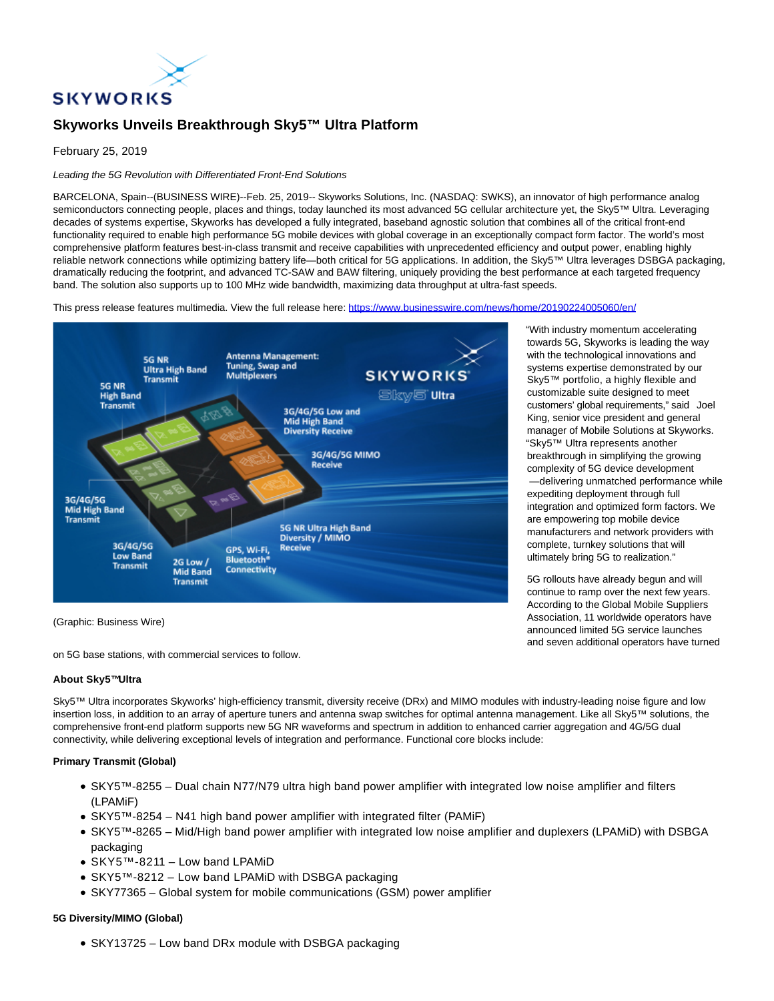

# **Skyworks Unveils Breakthrough Sky5™ Ultra Platform**

February 25, 2019

## Leading the 5G Revolution with Differentiated Front-End Solutions

BARCELONA, Spain--(BUSINESS WIRE)--Feb. 25, 2019-- Skyworks Solutions, Inc. (NASDAQ: SWKS), an innovator of high performance analog semiconductors connecting people, places and things, today launched its most advanced 5G cellular architecture yet, the Sky5™ Ultra. Leveraging decades of systems expertise, Skyworks has developed a fully integrated, baseband agnostic solution that combines all of the critical front-end functionality required to enable high performance 5G mobile devices with global coverage in an exceptionally compact form factor. The world's most comprehensive platform features best-in-class transmit and receive capabilities with unprecedented efficiency and output power, enabling highly reliable network connections while optimizing battery life—both critical for 5G applications. In addition, the Sky5™ Ultra leverages DSBGA packaging, dramatically reducing the footprint, and advanced TC-SAW and BAW filtering, uniquely providing the best performance at each targeted frequency band. The solution also supports up to 100 MHz wide bandwidth, maximizing data throughput at ultra-fast speeds.

This press release features multimedia. View the full release here:<https://www.businesswire.com/news/home/20190224005060/en/>



"With industry momentum accelerating towards 5G, Skyworks is leading the way with the technological innovations and systems expertise demonstrated by our Sky5™ portfolio, a highly flexible and customizable suite designed to meet customers' global requirements," said Joel King, senior vice president and general manager of Mobile Solutions at Skyworks. "Sky5™ Ultra represents another breakthrough in simplifying the growing complexity of 5G device development —delivering unmatched performance while expediting deployment through full integration and optimized form factors. We are empowering top mobile device manufacturers and network providers with complete, turnkey solutions that will ultimately bring 5G to realization."

5G rollouts have already begun and will continue to ramp over the next few years. According to the Global Mobile Suppliers Association, 11 worldwide operators have announced limited 5G service launches and seven additional operators have turned

(Graphic: Business Wire)

on 5G base stations, with commercial services to follow.

# **About Sky5™Ultra**

Sky5™ Ultra incorporates Skyworks' high-efficiency transmit, diversity receive (DRx) and MIMO modules with industry-leading noise figure and low insertion loss, in addition to an array of aperture tuners and antenna swap switches for optimal antenna management. Like all Sky5™ solutions, the comprehensive front-end platform supports new 5G NR waveforms and spectrum in addition to enhanced carrier aggregation and 4G/5G dual connectivity, while delivering exceptional levels of integration and performance. Functional core blocks include:

### **Primary Transmit (Global)**

- SKY5™-8255 Dual chain N77/N79 ultra high band power amplifier with integrated low noise amplifier and filters (LPAMiF)
- SKY5™-8254 N41 high band power amplifier with integrated filter (PAMiF)
- SKY5™-8265 Mid/High band power amplifier with integrated low noise amplifier and duplexers (LPAMiD) with DSBGA packaging
- SKY5™-8211 Low band LPAMiD
- SKY5™-8212 Low band LPAMiD with DSBGA packaging
- SKY77365 Global system for mobile communications (GSM) power amplifier

# **5G Diversity/MIMO (Global)**

• SKY13725 – Low band DRx module with DSBGA packaging